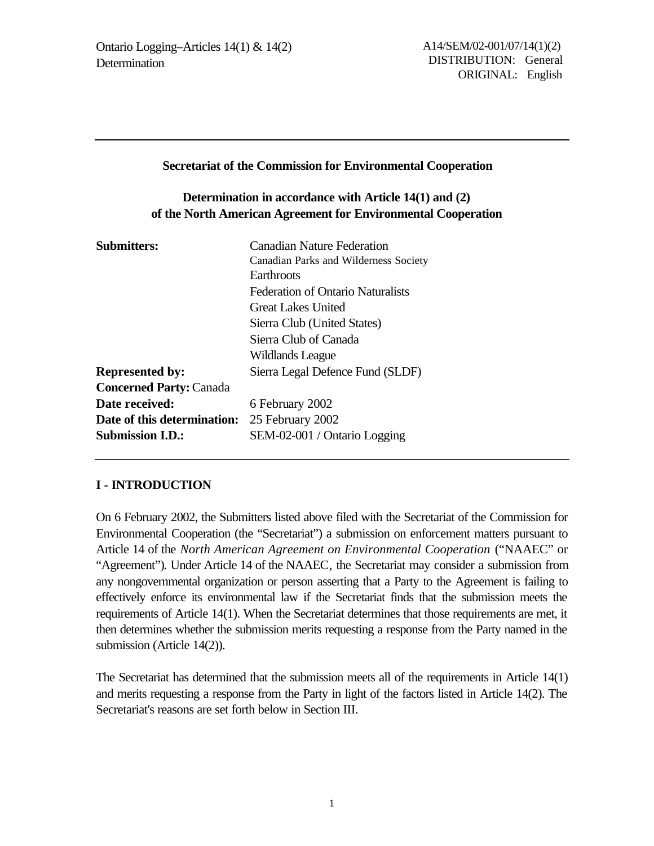#### **Secretariat of the Commission for Environmental Cooperation**

## **Determination in accordance with Article 14(1) and (2) of the North American Agreement for Environmental Cooperation**

| <b>Submitters:</b>             | <b>Canadian Nature Federation</b>        |
|--------------------------------|------------------------------------------|
|                                | Canadian Parks and Wilderness Society    |
|                                | Earthroots                               |
|                                | <b>Federation of Ontario Naturalists</b> |
|                                | Great Lakes United                       |
|                                | Sierra Club (United States)              |
|                                | Sierra Club of Canada                    |
|                                | Wildlands League                         |
| <b>Represented by:</b>         | Sierra Legal Defence Fund (SLDF)         |
| <b>Concerned Party: Canada</b> |                                          |
| Date received:                 | 6 February 2002                          |
| Date of this determination:    | 25 February 2002                         |
| <b>Submission I.D.:</b>        | SEM-02-001 / Ontario Logging             |

### **I - INTRODUCTION**

On 6 February 2002, the Submitters listed above filed with the Secretariat of the Commission for Environmental Cooperation (the "Secretariat") a submission on enforcement matters pursuant to Article 14 of the *North American Agreement on Environmental Cooperation* ("NAAEC" or "Agreement")*.* Under Article 14 of the NAAEC*,* the Secretariat may consider a submission from any nongovernmental organization or person asserting that a Party to the Agreement is failing to effectively enforce its environmental law if the Secretariat finds that the submission meets the requirements of Article 14(1). When the Secretariat determines that those requirements are met, it then determines whether the submission merits requesting a response from the Party named in the submission (Article 14(2)).

The Secretariat has determined that the submission meets all of the requirements in Article 14(1) and merits requesting a response from the Party in light of the factors listed in Article 14(2). The Secretariat's reasons are set forth below in Section III.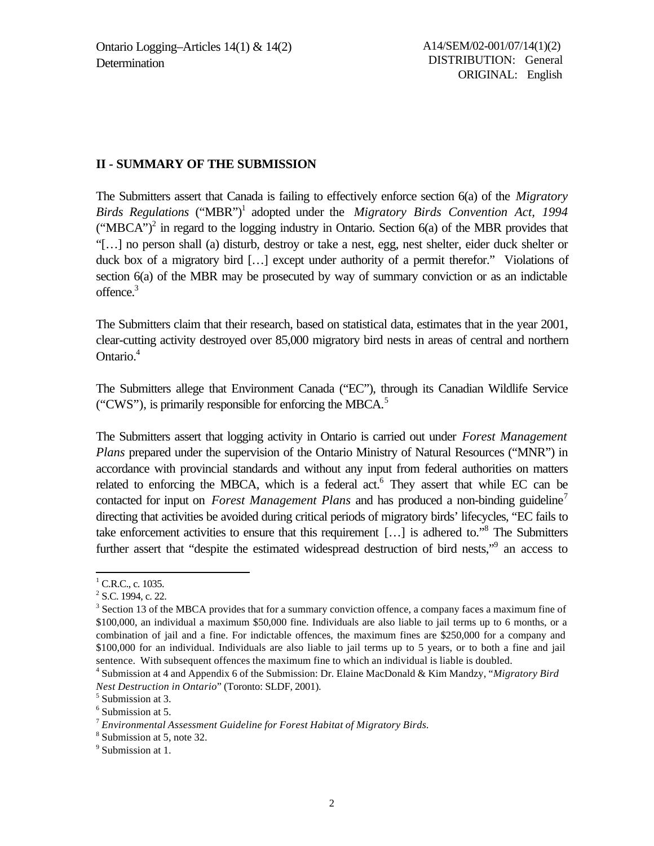#### **II - SUMMARY OF THE SUBMISSION**

The Submitters assert that Canada is failing to effectively enforce section 6(a) of the *Migratory* Birds Regulations ("MBR")<sup>1</sup> adopted under the *Migratory Birds Convention Act, 1994* ("MBCA")<sup>2</sup> in regard to the logging industry in Ontario. Section 6(a) of the MBR provides that "[…] no person shall (a) disturb, destroy or take a nest, egg, nest shelter, eider duck shelter or duck box of a migratory bird […] except under authority of a permit therefor." Violations of section 6(a) of the MBR may be prosecuted by way of summary conviction or as an indictable offence.<sup>3</sup>

The Submitters claim that their research, based on statistical data, estimates that in the year 2001, clear-cutting activity destroyed over 85,000 migratory bird nests in areas of central and northern Ontario.<sup>4</sup>

The Submitters allege that Environment Canada ("EC"), through its Canadian Wildlife Service ("CWS"), is primarily responsible for enforcing the MBCA.<sup>5</sup>

The Submitters assert that logging activity in Ontario is carried out under *Forest Management Plans* prepared under the supervision of the Ontario Ministry of Natural Resources ("MNR") in accordance with provincial standards and without any input from federal authorities on matters related to enforcing the MBCA, which is a federal act.<sup>6</sup> They assert that while EC can be contacted for input on *Forest Management Plans* and has produced a non-binding guideline<sup>7</sup> directing that activities be avoided during critical periods of migratory birds' lifecycles, "EC fails to take enforcement activities to ensure that this requirement [...] is adhered to."<sup>8</sup> The Submitters further assert that "despite the estimated widespread destruction of bird nests,"<sup>9</sup> an access to

 $<sup>1</sup>$  C.R.C., c. 1035.</sup>

 $2^2$  S.C. 1994, c. 22.

<sup>&</sup>lt;sup>3</sup> Section 13 of the MBCA provides that for a summary conviction offence, a company faces a maximum fine of \$100,000, an individual a maximum \$50,000 fine. Individuals are also liable to jail terms up to 6 months, or a combination of jail and a fine. For indictable offences, the maximum fines are \$250,000 for a company and \$100,000 for an individual. Individuals are also liable to jail terms up to 5 years, or to both a fine and jail sentence. With subsequent offences the maximum fine to which an individual is liable is doubled.

<sup>4</sup> Submission at 4 and Appendix 6 of the Submission: Dr. Elaine MacDonald & Kim Mandzy, "*Migratory Bird Nest Destruction in Ontario*" (Toronto: SLDF, 2001).

<sup>&</sup>lt;sup>5</sup> Submission at 3.

<sup>6</sup> Submission at 5.

<sup>7</sup> *Environmental Assessment Guideline for Forest Habitat of Migratory Birds.*

<sup>&</sup>lt;sup>8</sup> Submission at 5, note 32.

<sup>&</sup>lt;sup>9</sup> Submission at 1.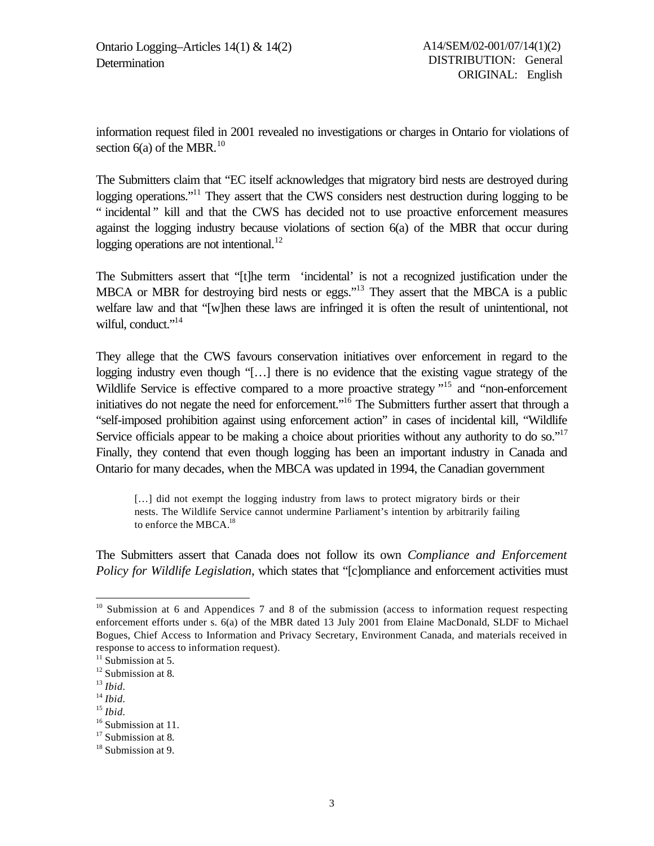information request filed in 2001 revealed no investigations or charges in Ontario for violations of section  $6(a)$  of the MBR.<sup>10</sup>

The Submitters claim that "EC itself acknowledges that migratory bird nests are destroyed during logging operations.<sup>"11</sup> They assert that the CWS considers nest destruction during logging to be " incidental " kill and that the CWS has decided not to use proactive enforcement measures against the logging industry because violations of section 6(a) of the MBR that occur during logging operations are not intentional.<sup>12</sup>

The Submitters assert that "[t]he term 'incidental' is not a recognized justification under the MBCA or MBR for destroying bird nests or eggs."<sup>13</sup> They assert that the MBCA is a public welfare law and that "[w]hen these laws are infringed it is often the result of unintentional, not wilful, conduct."<sup>14</sup>

They allege that the CWS favours conservation initiatives over enforcement in regard to the logging industry even though "[…] there is no evidence that the existing vague strategy of the Wildlife Service is effective compared to a more proactive strategy  $15$  and "non-enforcement" initiatives do not negate the need for enforcement."<sup>16</sup> The Submitters further assert that through a "self-imposed prohibition against using enforcement action" in cases of incidental kill, "Wildlife Service officials appear to be making a choice about priorities without any authority to do so."<sup>17</sup> Finally, they contend that even though logging has been an important industry in Canada and Ontario for many decades, when the MBCA was updated in 1994, the Canadian government

[...] did not exempt the logging industry from laws to protect migratory birds or their nests. The Wildlife Service cannot undermine Parliament's intention by arbitrarily failing to enforce the MBCA.<sup>18</sup>

The Submitters assert that Canada does not follow its own *Compliance and Enforcement Policy for Wildlife Legislation*, which states that "[c]ompliance and enforcement activities must

 $10$  Submission at 6 and Appendices 7 and 8 of the submission (access to information request respecting enforcement efforts under s. 6(a) of the MBR dated 13 July 2001 from Elaine MacDonald, SLDF to Michael Bogues, Chief Access to Information and Privacy Secretary, Environment Canada, and materials received in response to access to information request).

 $11$  Submission at 5.

<sup>12</sup> Submission at 8*.*

<sup>13</sup> *Ibid.*

<sup>14</sup> *Ibid.*

<sup>15</sup> *Ibid.*

 $16$  Submission at 11.

<sup>17</sup> Submission at 8*.*

<sup>&</sup>lt;sup>18</sup> Submission at 9.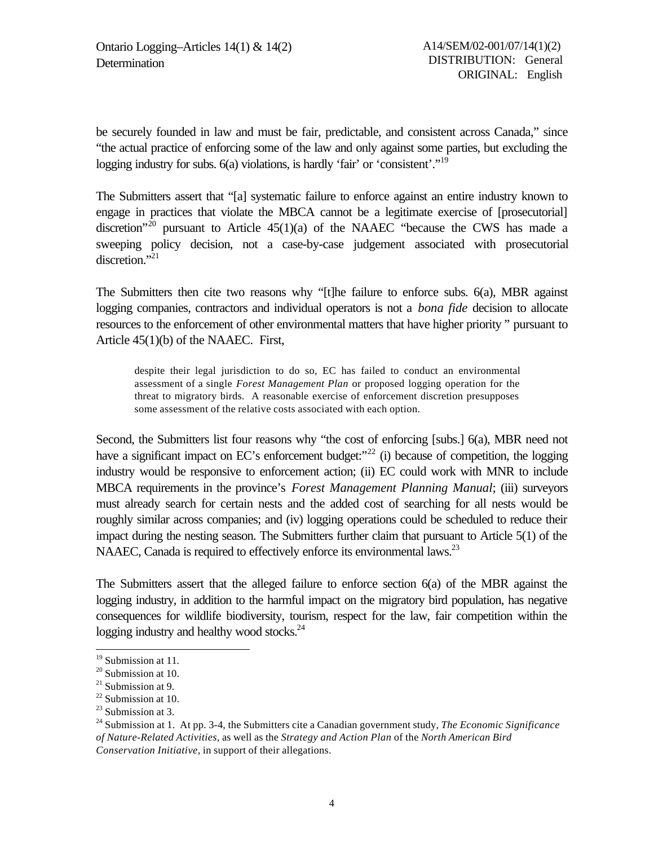be securely founded in law and must be fair, predictable, and consistent across Canada," since "the actual practice of enforcing some of the law and only against some parties, but excluding the logging industry for subs.  $6(a)$  violations, is hardly 'fair' or 'consistent'."<sup>19</sup>

The Submitters assert that "[a] systematic failure to enforce against an entire industry known to engage in practices that violate the MBCA cannot be a legitimate exercise of [prosecutorial] discretion<sup>"20</sup> pursuant to Article  $45(1)(a)$  of the NAAEC "because the CWS has made a sweeping policy decision, not a case-by-case judgement associated with prosecutorial discretion."<sup>21</sup>

The Submitters then cite two reasons why "[t]he failure to enforce subs. 6(a), MBR against logging companies, contractors and individual operators is not a *bona fide* decision to allocate resources to the enforcement of other environmental matters that have higher priority " pursuant to Article 45(1)(b) of the NAAEC. First,

despite their legal jurisdiction to do so, EC has failed to conduct an environmental assessment of a single *Forest Management Plan* or proposed logging operation for the threat to migratory birds. A reasonable exercise of enforcement discretion presupposes some assessment of the relative costs associated with each option.

Second, the Submitters list four reasons why "the cost of enforcing [subs.] 6(a), MBR need not have a significant impact on EC's enforcement budget: $^{22}$  (i) because of competition, the logging industry would be responsive to enforcement action; (ii) EC could work with MNR to include MBCA requirements in the province's *Forest Management Planning Manual*; (iii) surveyors must already search for certain nests and the added cost of searching for all nests would be roughly similar across companies; and (iv) logging operations could be scheduled to reduce their impact during the nesting season. The Submitters further claim that pursuant to Article 5(1) of the NAAEC, Canada is required to effectively enforce its environmental laws.<sup>23</sup>

The Submitters assert that the alleged failure to enforce section 6(a) of the MBR against the logging industry, in addition to the harmful impact on the migratory bird population, has negative consequences for wildlife biodiversity, tourism, respect for the law, fair competition within the logging industry and healthy wood stocks.<sup>24</sup>

<sup>19</sup> Submission at 11*.*

<sup>20</sup> Submission at 10.

 $21$  Submission at 9.

 $22$  Submission at 10.

 $23$  Submission at 3.

<sup>24</sup> Submission at 1. At pp. 3-4, the Submitters cite a Canadian government study, *The Economic Significance of Nature-Related Activities*, as well as the *Strategy and Action Plan* of the *North American Bird Conservation Initiative*, in support of their allegations.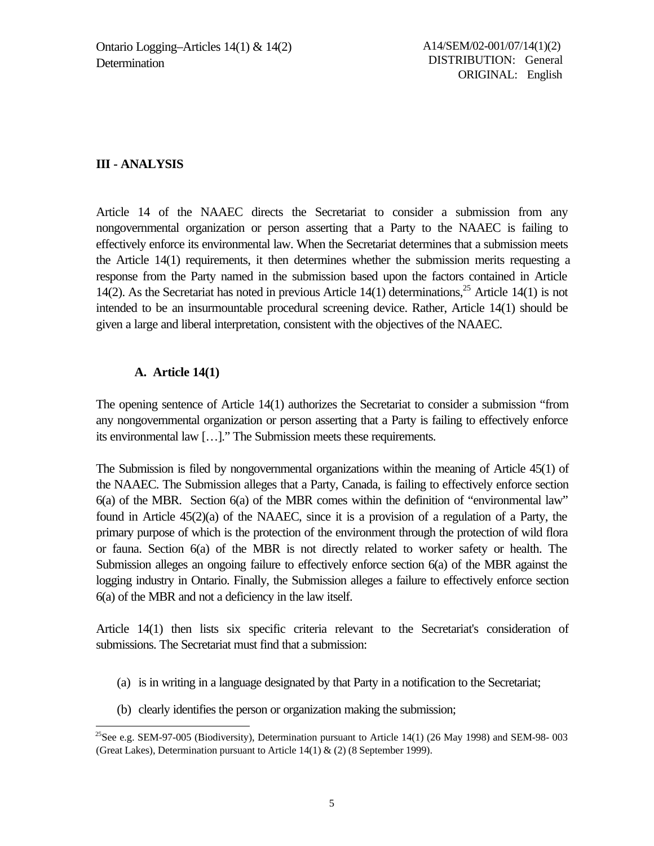### **III - ANALYSIS**

Article 14 of the NAAEC directs the Secretariat to consider a submission from any nongovernmental organization or person asserting that a Party to the NAAEC is failing to effectively enforce its environmental law. When the Secretariat determines that a submission meets the Article 14(1) requirements, it then determines whether the submission merits requesting a response from the Party named in the submission based upon the factors contained in Article 14(2). As the Secretariat has noted in previous Article 14(1) determinations,<sup>25</sup> Article 14(1) is not intended to be an insurmountable procedural screening device. Rather, Article 14(1) should be given a large and liberal interpretation, consistent with the objectives of the NAAEC.

#### **A. Article 14(1)**

l

The opening sentence of Article 14(1) authorizes the Secretariat to consider a submission "from any nongovernmental organization or person asserting that a Party is failing to effectively enforce its environmental law […]." The Submission meets these requirements.

The Submission is filed by nongovernmental organizations within the meaning of Article 45(1) of the NAAEC. The Submission alleges that a Party, Canada, is failing to effectively enforce section 6(a) of the MBR. Section 6(a) of the MBR comes within the definition of "environmental law" found in Article 45(2)(a) of the NAAEC, since it is a provision of a regulation of a Party, the primary purpose of which is the protection of the environment through the protection of wild flora or fauna. Section 6(a) of the MBR is not directly related to worker safety or health. The Submission alleges an ongoing failure to effectively enforce section 6(a) of the MBR against the logging industry in Ontario. Finally, the Submission alleges a failure to effectively enforce section 6(a) of the MBR and not a deficiency in the law itself.

Article 14(1) then lists six specific criteria relevant to the Secretariat's consideration of submissions. The Secretariat must find that a submission:

- (a) is in writing in a language designated by that Party in a notification to the Secretariat;
- (b) clearly identifies the person or organization making the submission;

<sup>&</sup>lt;sup>25</sup>See e.g. SEM-97-005 (Biodiversity), Determination pursuant to Article 14(1) (26 May 1998) and SEM-98-003 (Great Lakes), Determination pursuant to Article 14(1) & (2) (8 September 1999).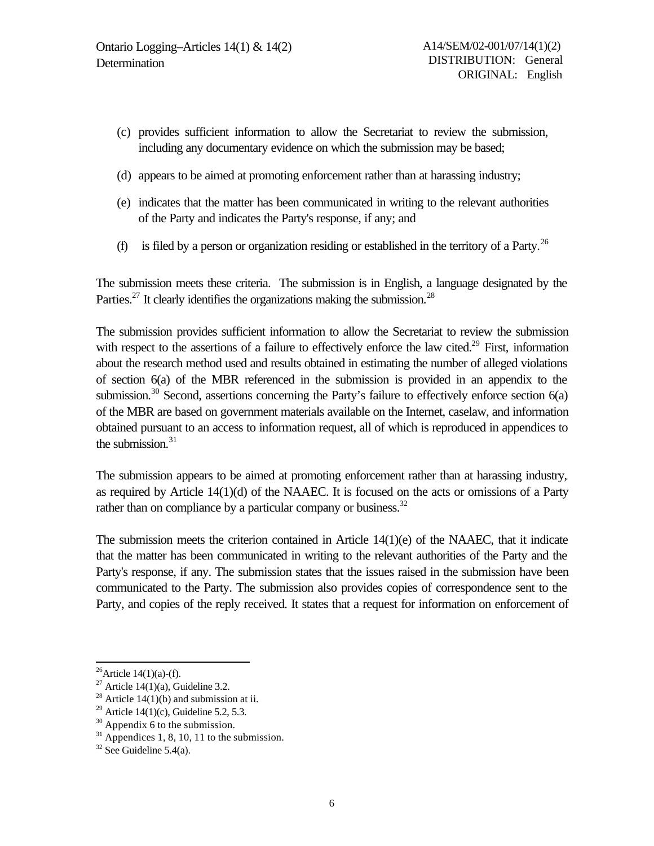- (c) provides sufficient information to allow the Secretariat to review the submission, including any documentary evidence on which the submission may be based;
- (d) appears to be aimed at promoting enforcement rather than at harassing industry;
- (e) indicates that the matter has been communicated in writing to the relevant authorities of the Party and indicates the Party's response, if any; and
- (f) is filed by a person or organization residing or established in the territory of a Party.<sup>26</sup>

The submission meets these criteria. The submission is in English, a language designated by the Parties.<sup>27</sup> It clearly identifies the organizations making the submission.<sup>28</sup>

The submission provides sufficient information to allow the Secretariat to review the submission with respect to the assertions of a failure to effectively enforce the law cited.<sup>29</sup> First, information about the research method used and results obtained in estimating the number of alleged violations of section 6(a) of the MBR referenced in the submission is provided in an appendix to the submission.<sup>30</sup> Second, assertions concerning the Party's failure to effectively enforce section  $6(a)$ of the MBR are based on government materials available on the Internet, caselaw, and information obtained pursuant to an access to information request, all of which is reproduced in appendices to the submission. $31$ 

The submission appears to be aimed at promoting enforcement rather than at harassing industry, as required by Article 14(1)(d) of the NAAEC. It is focused on the acts or omissions of a Party rather than on compliance by a particular company or business.<sup>32</sup>

The submission meets the criterion contained in Article 14(1)(e) of the NAAEC, that it indicate that the matter has been communicated in writing to the relevant authorities of the Party and the Party's response, if any. The submission states that the issues raised in the submission have been communicated to the Party. The submission also provides copies of correspondence sent to the Party, and copies of the reply received. It states that a request for information on enforcement of

<sup>&</sup>lt;sup>26</sup>Article 14(1)(a)-(f).

<sup>&</sup>lt;sup>27</sup> Article 14(1)(a), Guideline 3.2.

<sup>&</sup>lt;sup>28</sup> Article 14(1)(b) and submission at ii.

<sup>&</sup>lt;sup>29</sup> Article 14(1)(c), Guideline 5.2, 5.3.

<sup>&</sup>lt;sup>30</sup> Appendix 6 to the submission.

 $31$  Appendices 1, 8, 10, 11 to the submission.

 $32$  See Guideline 5.4(a).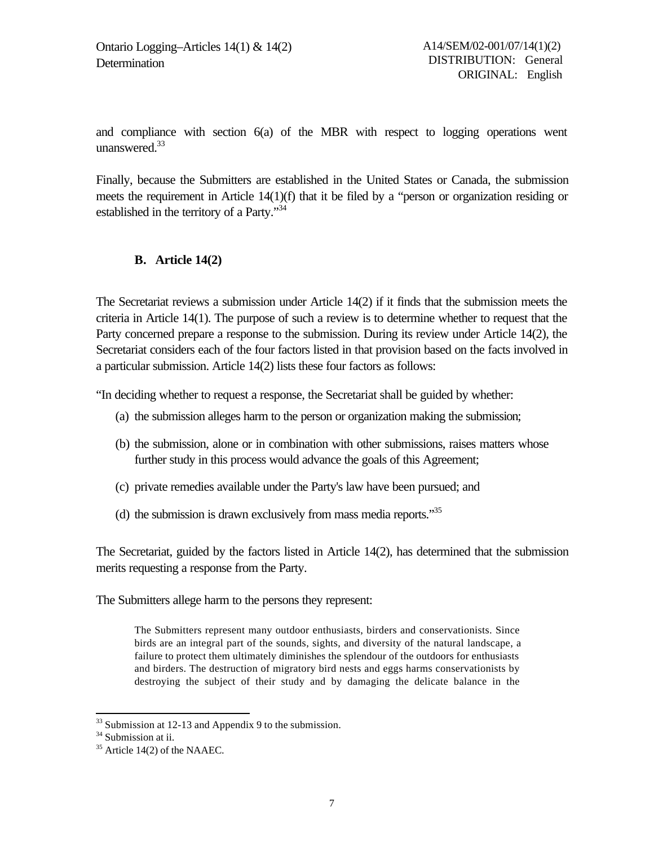and compliance with section 6(a) of the MBR with respect to logging operations went unanswered. $33$ 

Finally, because the Submitters are established in the United States or Canada, the submission meets the requirement in Article 14(1)(f) that it be filed by a "person or organization residing or established in the territory of a Party."<sup>34</sup>

#### **B. Article 14(2)**

The Secretariat reviews a submission under Article 14(2) if it finds that the submission meets the criteria in Article 14(1). The purpose of such a review is to determine whether to request that the Party concerned prepare a response to the submission. During its review under Article 14(2), the Secretariat considers each of the four factors listed in that provision based on the facts involved in a particular submission. Article 14(2) lists these four factors as follows:

"In deciding whether to request a response, the Secretariat shall be guided by whether:

- (a) the submission alleges harm to the person or organization making the submission;
- (b) the submission, alone or in combination with other submissions, raises matters whose further study in this process would advance the goals of this Agreement;
- (c) private remedies available under the Party's law have been pursued; and
- (d) the submission is drawn exclusively from mass media reports."<sup>35</sup>

The Secretariat, guided by the factors listed in Article 14(2), has determined that the submission merits requesting a response from the Party.

The Submitters allege harm to the persons they represent:

The Submitters represent many outdoor enthusiasts, birders and conservationists. Since birds are an integral part of the sounds, sights, and diversity of the natural landscape, a failure to protect them ultimately diminishes the splendour of the outdoors for enthusiasts and birders. The destruction of migratory bird nests and eggs harms conservationists by destroying the subject of their study and by damaging the delicate balance in the

 $33$  Submission at 12-13 and Appendix 9 to the submission.

<sup>&</sup>lt;sup>34</sup> Submission at ii.

 $35$  Article 14(2) of the NAAEC.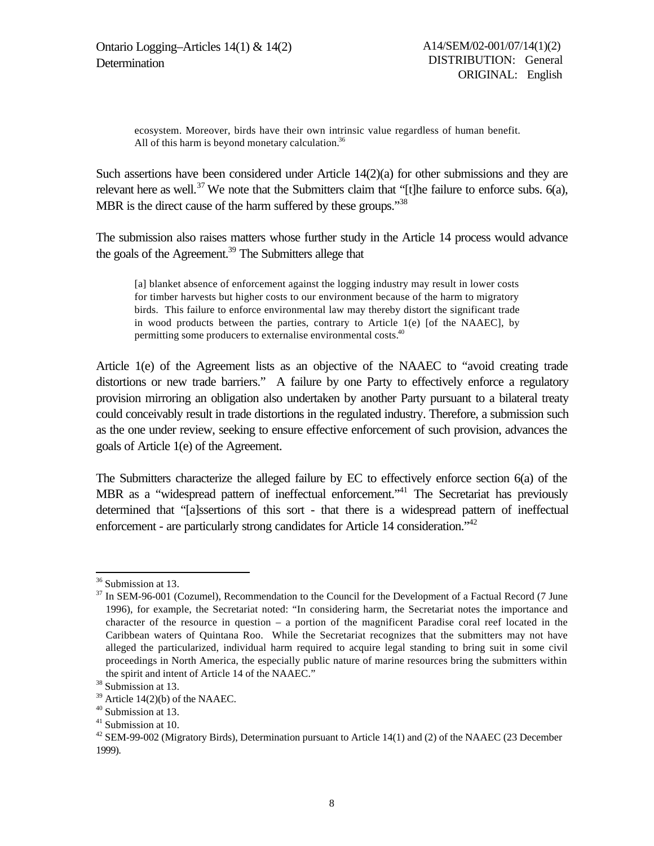Ontario Logging–Articles 14(1) & 14(2) **Determination** 

ecosystem. Moreover, birds have their own intrinsic value regardless of human benefit. All of this harm is beyond monetary calculation. $36$ 

Such assertions have been considered under Article 14(2)(a) for other submissions and they are relevant here as well.<sup>37</sup> We note that the Submitters claim that "It the failure to enforce subs. 6(a), MBR is the direct cause of the harm suffered by these groups."<sup>38</sup>

The submission also raises matters whose further study in the Article 14 process would advance the goals of the Agreement.<sup>39</sup> The Submitters allege that

[a] blanket absence of enforcement against the logging industry may result in lower costs for timber harvests but higher costs to our environment because of the harm to migratory birds. This failure to enforce environmental law may thereby distort the significant trade in wood products between the parties, contrary to Article 1(e) [of the NAAEC], by permitting some producers to externalise environmental costs.<sup>40</sup>

Article 1(e) of the Agreement lists as an objective of the NAAEC to "avoid creating trade distortions or new trade barriers." A failure by one Party to effectively enforce a regulatory provision mirroring an obligation also undertaken by another Party pursuant to a bilateral treaty could conceivably result in trade distortions in the regulated industry. Therefore, a submission such as the one under review, seeking to ensure effective enforcement of such provision, advances the goals of Article 1(e) of the Agreement.

The Submitters characterize the alleged failure by EC to effectively enforce section 6(a) of the MBR as a "widespread pattern of ineffectual enforcement."<sup>41</sup> The Secretariat has previously determined that "[a]ssertions of this sort - that there is a widespread pattern of ineffectual enforcement - are particularly strong candidates for Article 14 consideration.<sup>142</sup>

<sup>&</sup>lt;sup>36</sup> Submission at 13.

<sup>&</sup>lt;sup>37</sup> In SEM-96-001 (Cozumel), Recommendation to the Council for the Development of a Factual Record (7 June 1996), for example, the Secretariat noted: "In considering harm, the Secretariat notes the importance and character of the resource in question – a portion of the magnificent Paradise coral reef located in the Caribbean waters of Quintana Roo. While the Secretariat recognizes that the submitters may not have alleged the particularized, individual harm required to acquire legal standing to bring suit in some civil proceedings in North America, the especially public nature of marine resources bring the submitters within the spirit and intent of Article 14 of the NAAEC."

<sup>&</sup>lt;sup>38</sup> Submission at 13.

 $39$  Article 14(2)(b) of the NAAEC.

<sup>40</sup> Submission at 13.

<sup>&</sup>lt;sup>41</sup> Submission at 10.

<sup>&</sup>lt;sup>42</sup> SEM-99-002 (Migratory Birds), Determination pursuant to Article 14(1) and (2) of the NAAEC (23 December 1999).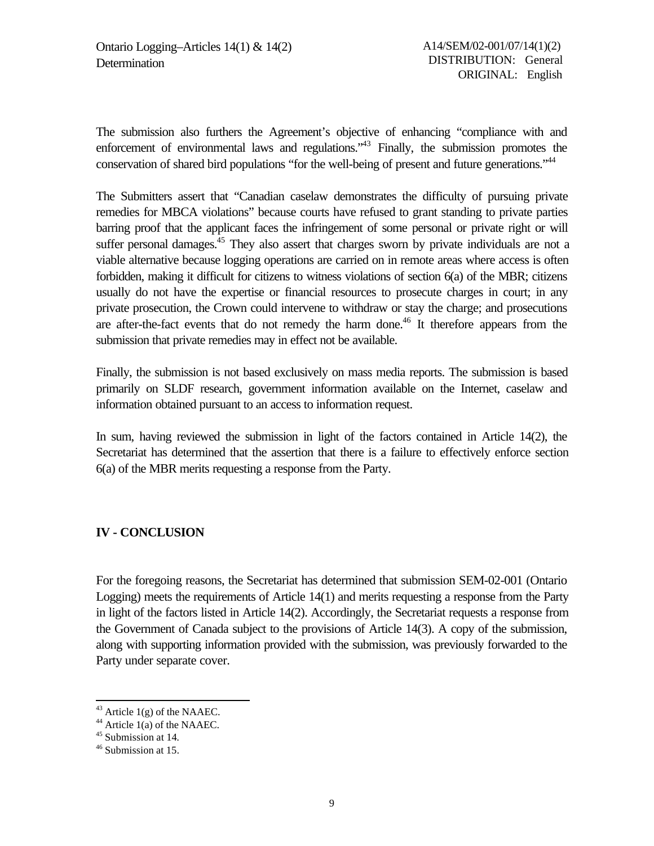The submission also furthers the Agreement's objective of enhancing "compliance with and enforcement of environmental laws and regulations."<sup>43</sup> Finally, the submission promotes the conservation of shared bird populations "for the well-being of present and future generations."<sup>44</sup>

The Submitters assert that "Canadian caselaw demonstrates the difficulty of pursuing private remedies for MBCA violations" because courts have refused to grant standing to private parties barring proof that the applicant faces the infringement of some personal or private right or will suffer personal damages.<sup>45</sup> They also assert that charges sworn by private individuals are not a viable alternative because logging operations are carried on in remote areas where access is often forbidden, making it difficult for citizens to witness violations of section 6(a) of the MBR; citizens usually do not have the expertise or financial resources to prosecute charges in court; in any private prosecution, the Crown could intervene to withdraw or stay the charge; and prosecutions are after-the-fact events that do not remedy the harm done.<sup>46</sup> It therefore appears from the submission that private remedies may in effect not be available.

Finally, the submission is not based exclusively on mass media reports. The submission is based primarily on SLDF research, government information available on the Internet, caselaw and information obtained pursuant to an access to information request.

In sum, having reviewed the submission in light of the factors contained in Article 14(2), the Secretariat has determined that the assertion that there is a failure to effectively enforce section 6(a) of the MBR merits requesting a response from the Party.

### **IV - CONCLUSION**

For the foregoing reasons, the Secretariat has determined that submission SEM-02-001 (Ontario Logging) meets the requirements of Article 14(1) and merits requesting a response from the Party in light of the factors listed in Article 14(2). Accordingly, the Secretariat requests a response from the Government of Canada subject to the provisions of Article 14(3). A copy of the submission, along with supporting information provided with the submission, was previously forwarded to the Party under separate cover.

 $43$  Article 1(g) of the NAAEC.

 $44$  Article 1(a) of the NAAEC.

<sup>45</sup> Submission at 14*.*

<sup>46</sup> Submission at 15.